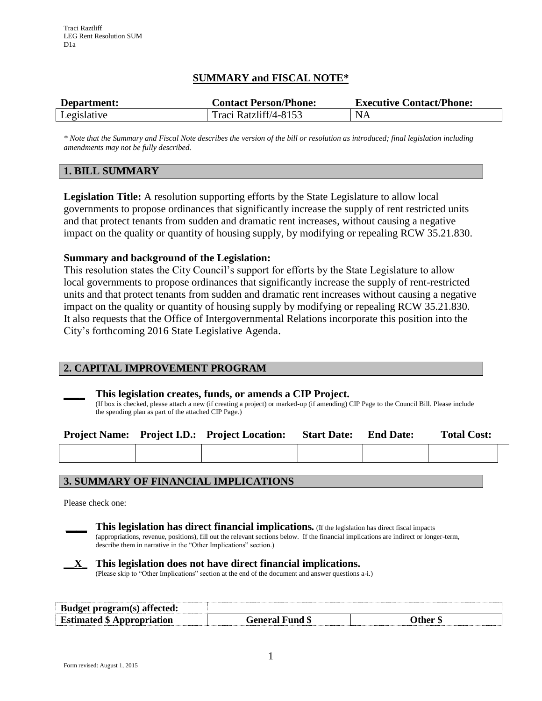# **SUMMARY and FISCAL NOTE\***

| Department: | <b>Contact Person/Phone:</b> | <b>Executive Contact/Phone:</b> |  |  |
|-------------|------------------------------|---------------------------------|--|--|
| Legislative | Traci Ratzliff/4-8153        | NA                              |  |  |

*\* Note that the Summary and Fiscal Note describes the version of the bill or resolution as introduced; final legislation including amendments may not be fully described.*

## **1. BILL SUMMARY**

**Legislation Title:** A resolution supporting efforts by the State Legislature to allow local governments to propose ordinances that significantly increase the supply of rent restricted units and that protect tenants from sudden and dramatic rent increases, without causing a negative impact on the quality or quantity of housing supply, by modifying or repealing RCW 35.21.830.

## **Summary and background of the Legislation:**

This resolution states the City Council's support for efforts by the State Legislature to allow local governments to propose ordinances that significantly increase the supply of rent-restricted units and that protect tenants from sudden and dramatic rent increases without causing a negative impact on the quality or quantity of housing supply by modifying or repealing RCW 35.21.830. It also requests that the Office of Intergovernmental Relations incorporate this position into the City's forthcoming 2016 State Legislative Agenda.

## **2. CAPITAL IMPROVEMENT PROGRAM**

## **\_\_\_\_ This legislation creates, funds, or amends a CIP Project.**

(If box is checked, please attach a new (if creating a project) or marked-up (if amending) CIP Page to the Council Bill. Please include the spending plan as part of the attached CIP Page.)

|  | <b>Project Name:</b> Project I.D.: Project Location: | <b>Start Date:</b> End Date: | <b>Total Cost:</b> |
|--|------------------------------------------------------|------------------------------|--------------------|
|  |                                                      |                              |                    |

## **3. SUMMARY OF FINANCIAL IMPLICATIONS**

Please check one:



**\_\_\_\_ This legislation has direct financial implications***.* (If the legislation has direct fiscal impacts (appropriations, revenue, positions), fill out the relevant sections below. If the financial implications are indirect or longer-term,

describe them in narrative in the "Other Implications" section.)

## **\_\_X\_ This legislation does not have direct financial implications.**

(Please skip to "Other Implications" section at the end of the document and answer questions a-i.)

| Budget program(s) affected:       |                           |       |
|-----------------------------------|---------------------------|-------|
| <b>Estimated \$ Appropriation</b> | <b>Fund</b> \$<br>General | `ther |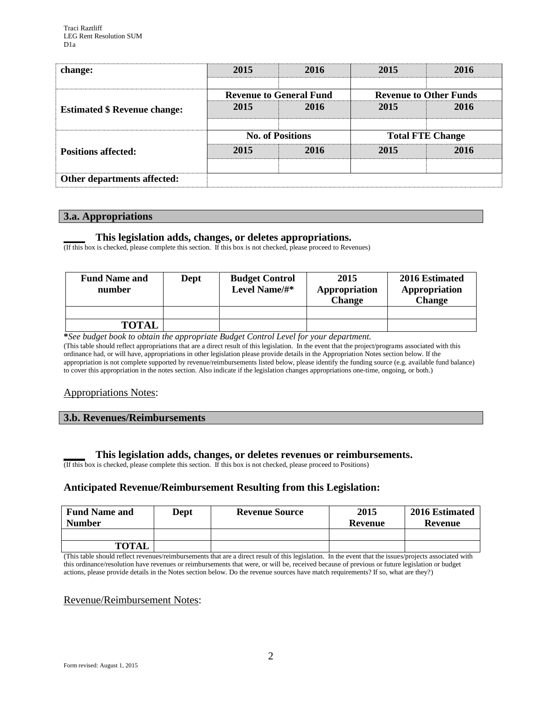| change:                             | 2015                           | 2016 | 2015                          | 2016 |
|-------------------------------------|--------------------------------|------|-------------------------------|------|
|                                     | <b>Revenue to General Fund</b> |      | <b>Revenue to Other Funds</b> |      |
| <b>Estimated \$ Revenue change:</b> | 2015                           | 2016 | 2015                          | 2016 |
|                                     | <b>No. of Positions</b>        |      | <b>Total FTE Change</b>       |      |
| <b>Positions affected:</b>          | 2015                           | 2016 | 2015                          | 2016 |
| Other departments affected:         |                                |      |                               |      |

## **3.a. Appropriations**

## **\_\_\_\_ This legislation adds, changes, or deletes appropriations.**

(If this box is checked, please complete this section. If this box is not checked, please proceed to Revenues)

| <b>Fund Name and</b><br>number | <b>Dept</b> | <b>Budget Control</b><br>Level Name/#* | 2015<br>Appropriation<br><b>Change</b> | 2016 Estimated<br>Appropriation<br><b>Change</b> |
|--------------------------------|-------------|----------------------------------------|----------------------------------------|--------------------------------------------------|
|                                |             |                                        |                                        |                                                  |
| TOTAL                          |             |                                        |                                        |                                                  |

**\****See budget book to obtain the appropriate Budget Control Level for your department.*

(This table should reflect appropriations that are a direct result of this legislation. In the event that the project/programs associated with this ordinance had, or will have, appropriations in other legislation please provide details in the Appropriation Notes section below. If the appropriation is not complete supported by revenue/reimbursements listed below, please identify the funding source (e.g. available fund balance) to cover this appropriation in the notes section. Also indicate if the legislation changes appropriations one-time, ongoing, or both.)

## Appropriations Notes:

#### **3.b. Revenues/Reimbursements**

#### **\_\_\_\_ This legislation adds, changes, or deletes revenues or reimbursements.**

(If this box is checked, please complete this section. If this box is not checked, please proceed to Positions)

## **Anticipated Revenue/Reimbursement Resulting from this Legislation:**

| <b>Fund Name and</b><br><b>Number</b> | Dept | <b>Revenue Source</b> | 2015<br>Revenue | 2016 Estimated<br><b>Revenue</b> |
|---------------------------------------|------|-----------------------|-----------------|----------------------------------|
|                                       |      |                       |                 |                                  |
| <b>TOTAL</b>                          |      |                       |                 |                                  |

(This table should reflect revenues/reimbursements that are a direct result of this legislation. In the event that the issues/projects associated with this ordinance/resolution have revenues or reimbursements that were, or will be, received because of previous or future legislation or budget actions, please provide details in the Notes section below. Do the revenue sources have match requirements? If so, what are they?)

#### Revenue/Reimbursement Notes: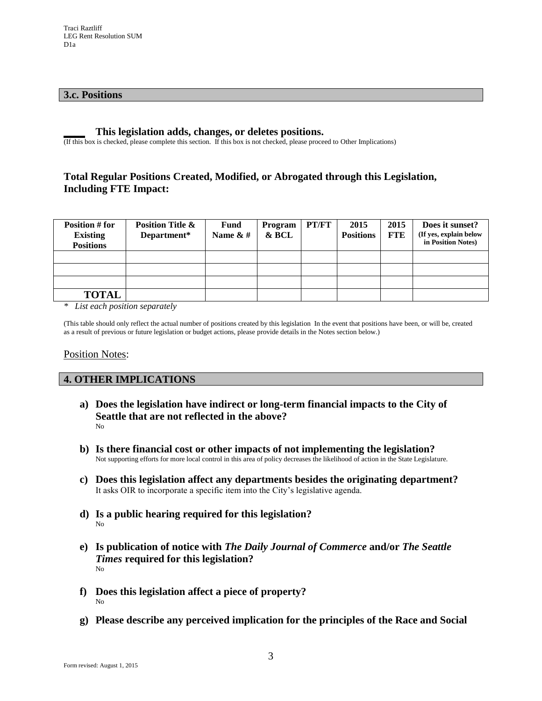#### **3.c. Positions**

#### **\_\_\_\_ This legislation adds, changes, or deletes positions.**

(If this box is checked, please complete this section. If this box is not checked, please proceed to Other Implications)

# **Total Regular Positions Created, Modified, or Abrogated through this Legislation, Including FTE Impact:**

| Position # for<br><b>Existing</b><br><b>Positions</b> | <b>Position Title &amp;</b><br>Department* | <b>Fund</b><br>Name $&#</math></th><th>Program<br>& BCL</th><th>PT/FT</th><th>2015<br><b>Positions</b></th><th>2015<br><b>FTE</b></th><th>Does it sunset?<br>(If yes, explain below<br>in Position Notes)</th></tr><tr><td></td><td></td><td></td><td></td><td></td><td></td><td></td><td></td></tr><tr><td></td><td></td><td></td><td></td><td></td><td></td><td></td><td></td></tr><tr><td></td><td></td><td></td><td></td><td></td><td></td><td></td><td></td></tr><tr><td><b>TOTAL</b></td><td></td><td></td><td></td><td></td><td></td><td></td><td></td></tr></tbody></table>$ |
|-------------------------------------------------------|--------------------------------------------|--------------------------------------------------------------------------------------------------------------------------------------------------------------------------------------------------------------------------------------------------------------------------------------------------------------------------------------------------------------------------------------------------------------------------------------------------------------------------------------------------------------------------------------------------------------------------------------|
|-------------------------------------------------------|--------------------------------------------|--------------------------------------------------------------------------------------------------------------------------------------------------------------------------------------------------------------------------------------------------------------------------------------------------------------------------------------------------------------------------------------------------------------------------------------------------------------------------------------------------------------------------------------------------------------------------------------|

*\* List each position separately*

(This table should only reflect the actual number of positions created by this legislation In the event that positions have been, or will be, created as a result of previous or future legislation or budget actions, please provide details in the Notes section below.)

#### **Position Notes:**

#### **4. OTHER IMPLICATIONS**

- **a) Does the legislation have indirect or long-term financial impacts to the City of Seattle that are not reflected in the above?** No
- **b) Is there financial cost or other impacts of not implementing the legislation?** Not supporting efforts for more local control in this area of policy decreases the likelihood of action in the State Legislature.
- **c) Does this legislation affect any departments besides the originating department?**  It asks OIR to incorporate a specific item into the City's legislative agenda.
- **d) Is a public hearing required for this legislation?**  No
- **e) Is publication of notice with** *The Daily Journal of Commerce* **and/or** *The Seattle Times* **required for this legislation?** No
- **f) Does this legislation affect a piece of property?** No
- **g) Please describe any perceived implication for the principles of the Race and Social**